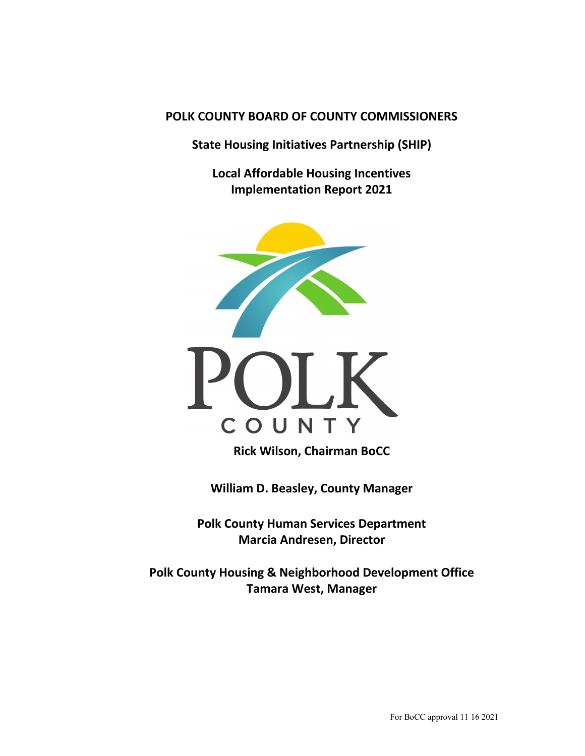# **POLK COUNTY BOARD OF COUNTY COMMISSIONERS**

**State Housing Initiatives Partnership (SHIP)**

**Local Affordable Housing Incentives Implementation Report 2021**





**Rick Wilson, Chairman BoCC**

**William D. Beasley, County Manager**

**Polk County Human Services Department Marcia Andresen, Director**

**Polk County Housing & Neighborhood Development Office Tamara West, Manager**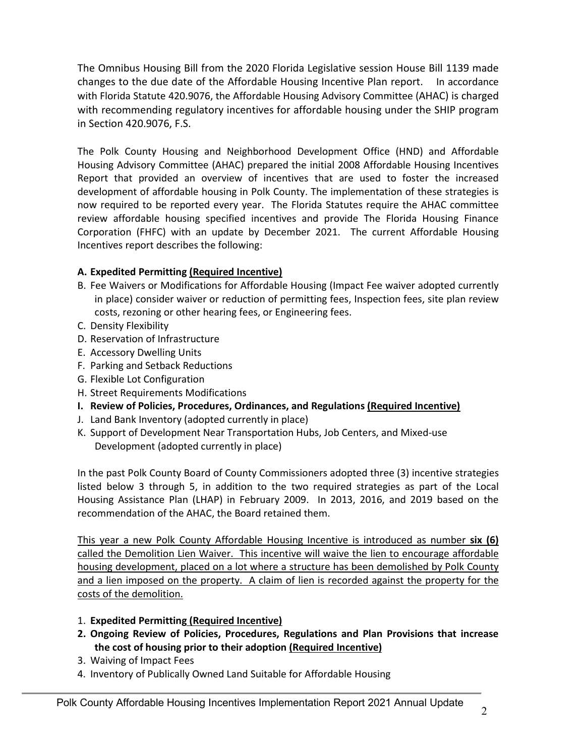The Omnibus Housing Bill from the 2020 Florida Legislative session House Bill 1139 made changes to the due date of the Affordable Housing Incentive Plan report. In accordance with Florida Statute 420.9076, the Affordable Housing Advisory Committee (AHAC) is charged with recommending regulatory incentives for affordable housing under the SHIP program in Section 420.9076, F.S.

The Polk County Housing and Neighborhood Development Office (HND) and Affordable Housing Advisory Committee (AHAC) prepared the initial 2008 Affordable Housing Incentives Report that provided an overview of incentives that are used to foster the increased development of affordable housing in Polk County. The implementation of these strategies is now required to be reported every year. The Florida Statutes require the AHAC committee review affordable housing specified incentives and provide The Florida Housing Finance Corporation (FHFC) with an update by December 2021. The current Affordable Housing Incentives report describes the following:

# **A. Expedited Permitting (Required Incentive)**

- B. Fee Waivers or Modifications for Affordable Housing (Impact Fee waiver adopted currently in place) consider waiver or reduction of permitting fees, Inspection fees, site plan review costs, rezoning or other hearing fees, or Engineering fees.
- C. Density Flexibility
- D. Reservation of Infrastructure
- E. Accessory Dwelling Units
- F. Parking and Setback Reductions
- G. Flexible Lot Configuration
- H. Street Requirements Modifications
- **I. Review of Policies, Procedures, Ordinances, and Regulations (Required Incentive)**
- J. Land Bank Inventory (adopted currently in place)
- K. Support of Development Near Transportation Hubs, Job Centers, and Mixed-use Development (adopted currently in place)

In the past Polk County Board of County Commissioners adopted three (3) incentive strategies listed below 3 through 5, in addition to the two required strategies as part of the Local Housing Assistance Plan (LHAP) in February 2009. In 2013, 2016, and 2019 based on the recommendation of the AHAC, the Board retained them.

This year a new Polk County Affordable Housing Incentive is introduced as number **six (6)** called the Demolition Lien Waiver. This incentive will waive the lien to encourage affordable housing development, placed on a lot where a structure has been demolished by Polk County and a lien imposed on the property. A claim of lien is recorded against the property for the costs of the demolition.

- 1. **Expedited Permitting (Required Incentive)**
- **2. Ongoing Review of Policies, Procedures, Regulations and Plan Provisions that increase the cost of housing prior to their adoption (Required Incentive)**
- 3. Waiving of Impact Fees
- 4. Inventory of Publically Owned Land Suitable for Affordable Housing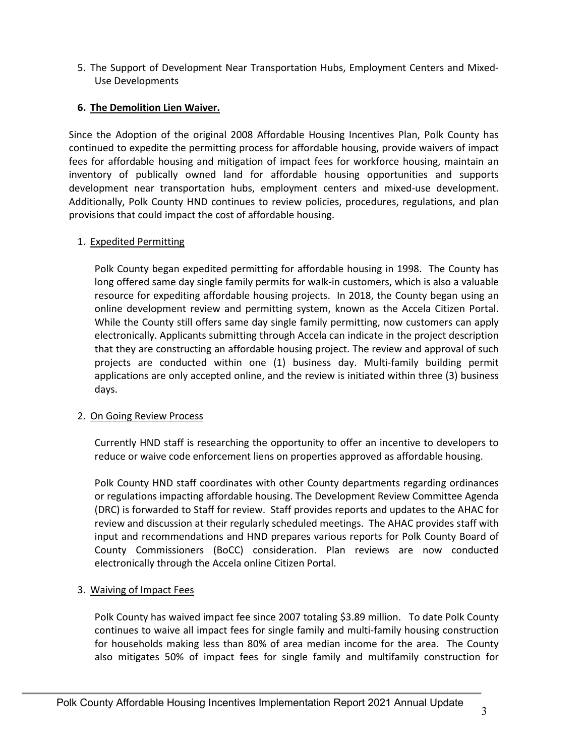5. The Support of Development Near Transportation Hubs, Employment Centers and Mixed-Use Developments

## **6. The Demolition Lien Waiver.**

Since the Adoption of the original 2008 Affordable Housing Incentives Plan, Polk County has continued to expedite the permitting process for affordable housing, provide waivers of impact fees for affordable housing and mitigation of impact fees for workforce housing, maintain an inventory of publically owned land for affordable housing opportunities and supports development near transportation hubs, employment centers and mixed-use development. Additionally, Polk County HND continues to review policies, procedures, regulations, and plan provisions that could impact the cost of affordable housing.

#### 1. Expedited Permitting

Polk County began expedited permitting for affordable housing in 1998. The County has long offered same day single family permits for walk-in customers, which is also a valuable resource for expediting affordable housing projects. In 2018, the County began using an online development review and permitting system, known as the Accela Citizen Portal. While the County still offers same day single family permitting, now customers can apply electronically. Applicants submitting through Accela can indicate in the project description that they are constructing an affordable housing project. The review and approval of such projects are conducted within one (1) business day. Multi-family building permit applications are only accepted online, and the review is initiated within three (3) business days.

#### 2. On Going Review Process

Currently HND staff is researching the opportunity to offer an incentive to developers to reduce or waive code enforcement liens on properties approved as affordable housing.

Polk County HND staff coordinates with other County departments regarding ordinances or regulations impacting affordable housing. The Development Review Committee Agenda (DRC) is forwarded to Staff for review. Staff provides reports and updates to the AHAC for review and discussion at their regularly scheduled meetings. The AHAC provides staff with input and recommendations and HND prepares various reports for Polk County Board of County Commissioners (BoCC) consideration. Plan reviews are now conducted electronically through the Accela online Citizen Portal.

## 3. Waiving of Impact Fees

Polk County has waived impact fee since 2007 totaling \$3.89 million. To date Polk County continues to waive all impact fees for single family and multi-family housing construction for households making less than 80% of area median income for the area. The County also mitigates 50% of impact fees for single family and multifamily construction for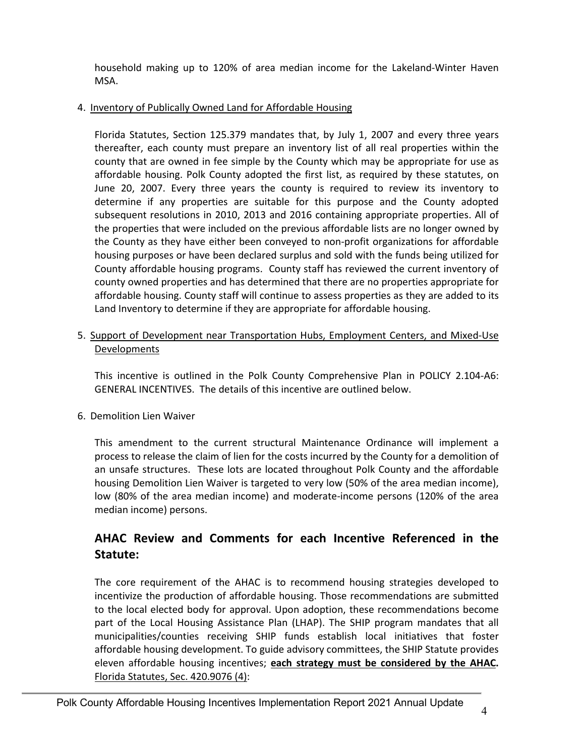household making up to 120% of area median income for the Lakeland-Winter Haven MSA.

## 4. Inventory of Publically Owned Land for Affordable Housing

Florida Statutes, Section 125.379 mandates that, by July 1, 2007 and every three years thereafter, each county must prepare an inventory list of all real properties within the county that are owned in fee simple by the County which may be appropriate for use as affordable housing. Polk County adopted the first list, as required by these statutes, on June 20, 2007. Every three years the county is required to review its inventory to determine if any properties are suitable for this purpose and the County adopted subsequent resolutions in 2010, 2013 and 2016 containing appropriate properties. All of the properties that were included on the previous affordable lists are no longer owned by the County as they have either been conveyed to non-profit organizations for affordable housing purposes or have been declared surplus and sold with the funds being utilized for County affordable housing programs. County staff has reviewed the current inventory of county owned properties and has determined that there are no properties appropriate for affordable housing. County staff will continue to assess properties as they are added to its Land Inventory to determine if they are appropriate for affordable housing.

5. Support of Development near Transportation Hubs, Employment Centers, and Mixed-Use Developments

This incentive is outlined in the Polk County Comprehensive Plan in POLICY 2.104-A6: GENERAL INCENTIVES. The details of this incentive are outlined below.

# 6. Demolition Lien Waiver

This amendment to the current structural Maintenance Ordinance will implement a process to release the claim of lien for the costs incurred by the County for a demolition of an unsafe structures. These lots are located throughout Polk County and the affordable housing Demolition Lien Waiver is targeted to very low (50% of the area median income), low (80% of the area median income) and moderate-income persons (120% of the area median income) persons.

# **AHAC Review and Comments for each Incentive Referenced in the Statute:**

The core requirement of the AHAC is to recommend housing strategies developed to incentivize the production of affordable housing. Those recommendations are submitted to the local elected body for approval. Upon adoption, these recommendations become part of the Local Housing Assistance Plan (LHAP). The SHIP program mandates that all municipalities/counties receiving SHIP funds establish local initiatives that foster affordable housing development. To guide advisory committees, the SHIP Statute provides eleven affordable housing incentives; **each strategy must be considered by the AHAC.** Florida Statutes, Sec. 420.9076 (4):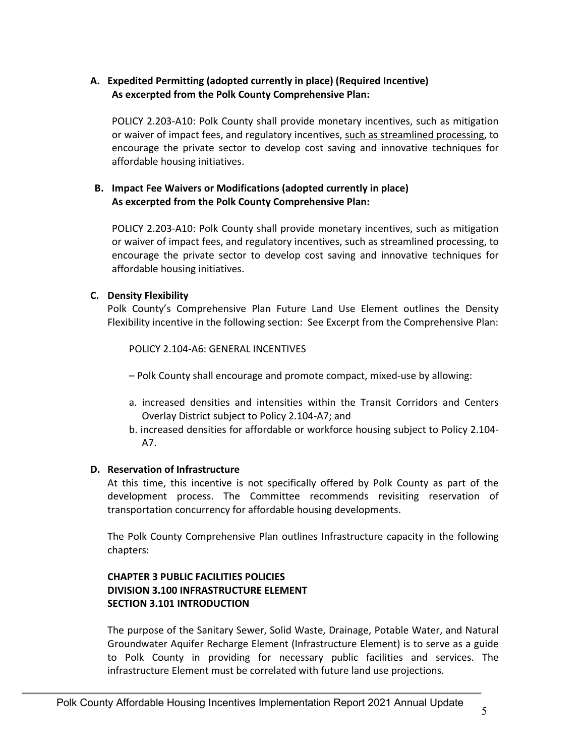## **A. Expedited Permitting (adopted currently in place) (Required Incentive) As excerpted from the Polk County Comprehensive Plan:**

POLICY 2.203-A10: Polk County shall provide monetary incentives, such as mitigation or waiver of impact fees, and regulatory incentives, such as streamlined processing, to encourage the private sector to develop cost saving and innovative techniques for affordable housing initiatives.

## **B. Impact Fee Waivers or Modifications (adopted currently in place) As excerpted from the Polk County Comprehensive Plan:**

POLICY 2.203-A10: Polk County shall provide monetary incentives, such as mitigation or waiver of impact fees, and regulatory incentives, such as streamlined processing, to encourage the private sector to develop cost saving and innovative techniques for affordable housing initiatives.

#### **C. Density Flexibility**

Polk County's Comprehensive Plan Future Land Use Element outlines the Density Flexibility incentive in the following section: See Excerpt from the Comprehensive Plan:

POLICY 2.104-A6: GENERAL INCENTIVES

– Polk County shall encourage and promote compact, mixed-use by allowing:

- a. increased densities and intensities within the Transit Corridors and Centers Overlay District subject to Policy 2.104-A7; and
- b. increased densities for affordable or workforce housing subject to Policy 2.104- A7.

#### **D. Reservation of Infrastructure**

At this time, this incentive is not specifically offered by Polk County as part of the development process. The Committee recommends revisiting reservation of transportation concurrency for affordable housing developments.

The Polk County Comprehensive Plan outlines Infrastructure capacity in the following chapters:

## **CHAPTER 3 PUBLIC FACILITIES POLICIES DIVISION 3.100 INFRASTRUCTURE ELEMENT SECTION 3.101 INTRODUCTION**

The purpose of the Sanitary Sewer, Solid Waste, Drainage, Potable Water, and Natural Groundwater Aquifer Recharge Element (Infrastructure Element) is to serve as a guide to Polk County in providing for necessary public facilities and services. The infrastructure Element must be correlated with future land use projections.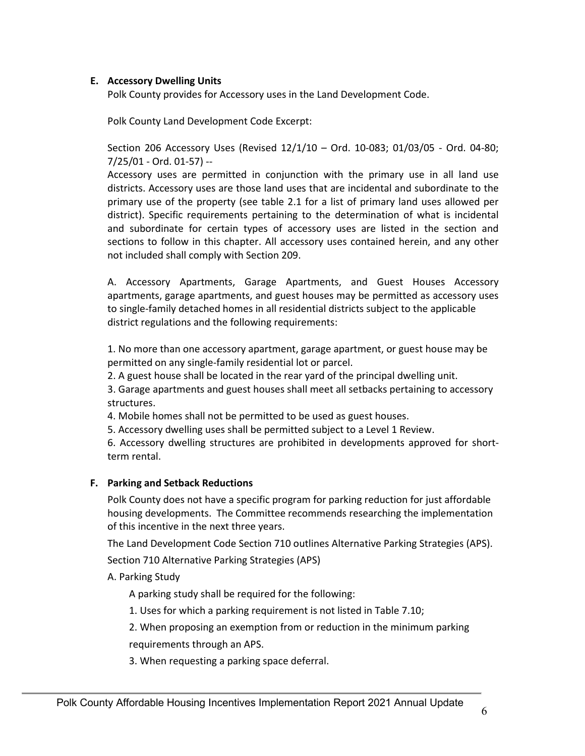#### **E. Accessory Dwelling Units**

Polk County provides for Accessory uses in the Land Development Code.

Polk County Land Development Code Excerpt:

Section 206 Accessory Uses (Revised 12/1/10 – Ord. 10-083; 01/03/05 - Ord. 04-80; 7/25/01 - Ord. 01-57) --

Accessory uses are permitted in conjunction with the primary use in all land use districts. Accessory uses are those land uses that are incidental and subordinate to the primary use of the property (see table 2.1 for a list of primary land uses allowed per district). Specific requirements pertaining to the determination of what is incidental and subordinate for certain types of accessory uses are listed in the section and sections to follow in this chapter. All accessory uses contained herein, and any other not included shall comply with Section 209.

A. Accessory Apartments, Garage Apartments, and Guest Houses Accessory apartments, garage apartments, and guest houses may be permitted as accessory uses to single-family detached homes in all residential districts subject to the applicable district regulations and the following requirements:

1. No more than one accessory apartment, garage apartment, or guest house may be permitted on any single-family residential lot or parcel.

2. A guest house shall be located in the rear yard of the principal dwelling unit.

3. Garage apartments and guest houses shall meet all setbacks pertaining to accessory structures.

4. Mobile homes shall not be permitted to be used as guest houses.

5. Accessory dwelling uses shall be permitted subject to a Level 1 Review.

6. Accessory dwelling structures are prohibited in developments approved for shortterm rental.

#### **F. Parking and Setback Reductions**

Polk County does not have a specific program for parking reduction for just affordable housing developments. The Committee recommends researching the implementation of this incentive in the next three years.

The Land Development Code Section 710 outlines Alternative Parking Strategies (APS).

Section 710 Alternative Parking Strategies (APS)

A. Parking Study

A parking study shall be required for the following:

1. Uses for which a parking requirement is not listed in Table 7.10;

2. When proposing an exemption from or reduction in the minimum parking

requirements through an APS.

3. When requesting a parking space deferral.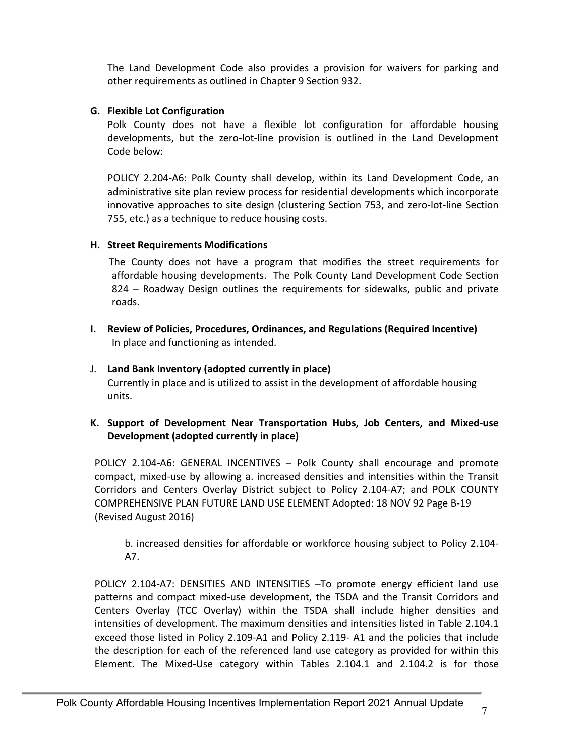The Land Development Code also provides a provision for waivers for parking and other requirements as outlined in Chapter 9 Section 932.

## **G. Flexible Lot Configuration**

Polk County does not have a flexible lot configuration for affordable housing developments, but the zero-lot-line provision is outlined in the Land Development Code below:

POLICY 2.204-A6: Polk County shall develop, within its Land Development Code, an administrative site plan review process for residential developments which incorporate innovative approaches to site design (clustering Section 753, and zero-lot-line Section 755, etc.) as a technique to reduce housing costs.

#### **H. Street Requirements Modifications**

The County does not have a program that modifies the street requirements for affordable housing developments. The Polk County Land Development Code Section 824 – Roadway Design outlines the requirements for sidewalks, public and private roads.

**I. Review of Policies, Procedures, Ordinances, and Regulations (Required Incentive)** In place and functioning as intended.

#### J. **Land Bank Inventory (adopted currently in place)** Currently in place and is utilized to assist in the development of affordable housing units.

#### **K. Support of Development Near Transportation Hubs, Job Centers, and Mixed-use Development (adopted currently in place)**

POLICY 2.104-A6: GENERAL INCENTIVES – Polk County shall encourage and promote compact, mixed-use by allowing a. increased densities and intensities within the Transit Corridors and Centers Overlay District subject to Policy 2.104-A7; and POLK COUNTY COMPREHENSIVE PLAN FUTURE LAND USE ELEMENT Adopted: 18 NOV 92 Page B-19 (Revised August 2016)

b. increased densities for affordable or workforce housing subject to Policy 2.104- A7.

POLICY 2.104-A7: DENSITIES AND INTENSITIES –To promote energy efficient land use patterns and compact mixed-use development, the TSDA and the Transit Corridors and Centers Overlay (TCC Overlay) within the TSDA shall include higher densities and intensities of development. The maximum densities and intensities listed in Table 2.104.1 exceed those listed in Policy 2.109-A1 and Policy 2.119- A1 and the policies that include the description for each of the referenced land use category as provided for within this Element. The Mixed-Use category within Tables 2.104.1 and 2.104.2 is for those